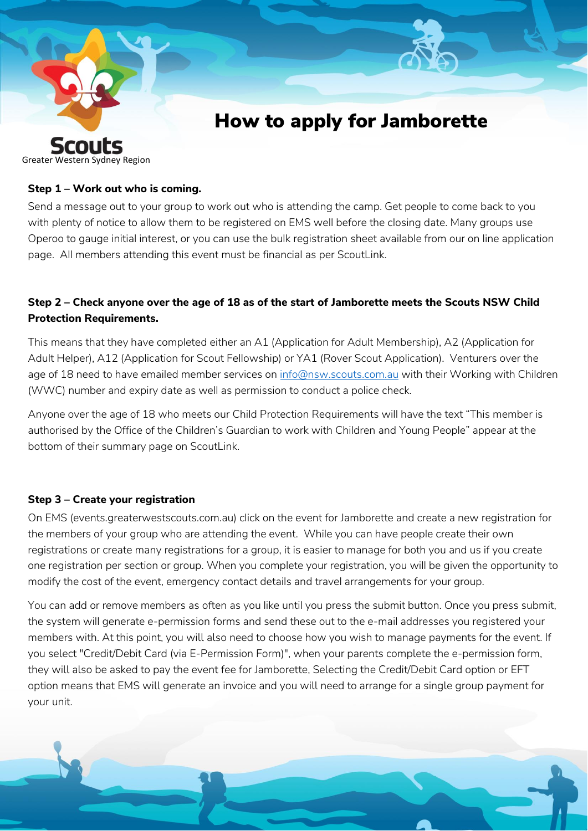

## **Step 1 – Work out who is coming.**

Send a message out to your group to work out who is attending the camp. Get people to come back to you with plenty of notice to allow them to be registered on EMS well before the closing date. Many groups use Operoo to gauge initial interest, or you can use the bulk registration sheet available from our on line application page. All members attending this event must be financial as per ScoutLink.

# **Step 2 – Check anyone over the age of 18 as of the start of Jamborette meets the Scouts NSW Child Protection Requirements.**

This means that they have completed either an A1 (Application for Adult Membership), A2 (Application for Adult Helper), A12 (Application for Scout Fellowship) or YA1 (Rover Scout Application). Venturers over the age of 18 need to have emailed member services on [info@nsw.scouts.com.au](mailto:info@nsw.scouts.com.au) with their Working with Children (WWC) number and expiry date as well as permission to conduct a police check.

Anyone over the age of 18 who meets our Child Protection Requirements will have the text "This member is authorised by the Office of the Children's Guardian to work with Children and Young People" appear at the bottom of their summary page on ScoutLink.

## **Step 3 – Create your registration**

On EMS (events.greaterwestscouts.com.au) click on the event for Jamborette and create a new registration for the members of your group who are attending the event. While you can have people create their own registrations or create many registrations for a group, it is easier to manage for both you and us if you create one registration per section or group. When you complete your registration, you will be given the opportunity to modify the cost of the event, emergency contact details and travel arrangements for your group.

You can add or remove members as often as you like until you press the submit button. Once you press submit, the system will generate e-permission forms and send these out to the e-mail addresses you registered your members with. At this point, you will also need to choose how you wish to manage payments for the event. If you select "Credit/Debit Card (via E-Permission Form)", when your parents complete the e-permission form, they will also be asked to pay the event fee for Jamborette, Selecting the Credit/Debit Card option or EFT option means that EMS will generate an invoice and you will need to arrange for a single group payment for your unit.